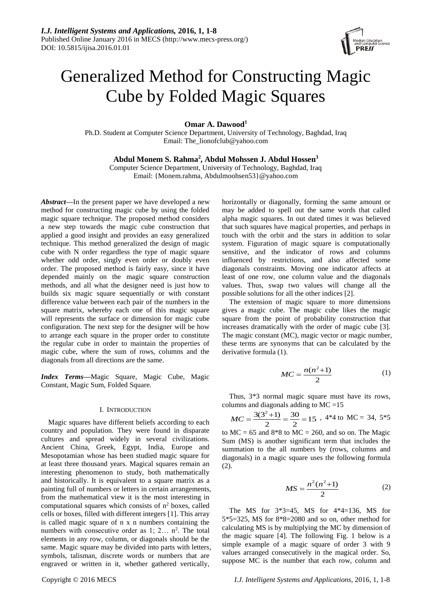

# Generalized Method for Constructing Magic Cube by Folded Magic Squares

**Omar A. Dawood<sup>1</sup>**

Ph.D. Student at Computer Science Department, University of Technology, Baghdad, Iraq Email: [The\\_lionofclub@yahoo.com](mailto:The_lionofclub@yahoo.com)

**Abdul Monem S. Rahma<sup>2</sup> , Abdul Mohssen J. Abdul Hossen<sup>3</sup>**

Computer Science Department, University of Technology, Baghdad, Iraq Email: [{Monem.rahma,](mailto:Monem.rahma@yahoo.com) Abdulmoohsen53}@yahoo.com

*Abstract***—**In the present paper we have developed a new method for constructing magic cube by using the folded magic square technique. The proposed method considers a new step towards the magic cube construction that applied a good insight and provides an easy generalized technique. This method generalized the design of magic cube with N order regardless the type of magic square whether odd order, singly even order or doubly even order. The proposed method is fairly easy, since it have depended mainly on the magic square construction methods, and all what the designer need is just how to builds six magic square sequentially or with constant difference value between each pair of the numbers in the square matrix, whereby each one of this magic square will represents the surface or dimension for magic cube configuration. The next step for the designer will be how to arrange each square in the proper order to constitute the regular cube in order to maintain the properties of magic cube, where the sum of rows, columns and the diagonals from all directions are the same.

*Index Terms***—**Magic Square, Magic Cube, Magic Constant, Magic Sum, Folded Square.

## I. INTRODUCTION

Magic squares have different beliefs according to each country and population. They were found in disparate cultures and spread widely in several civilizations. Ancient China, Greek, Egypt, India, Europe and Mesopotamian whose has been studied magic square for at least three thousand years. Magical squares remain an interesting phenomenon to study, both mathematically and historically. It is equivalent to a square matrix as a painting full of numbers or letters in certain arrangements, from the mathematical view it is the most interesting in computational squares which consists of  $n<sup>2</sup>$  boxes, called cells or boxes, filled with different integers [1]. This array is called magic square of n x n numbers containing the numbers with consecutive order as  $1$ ;  $2...$   $n^2$ . The total elements in any row, column, or diagonals should be the same. Magic square may be divided into parts with letters, symbols, talisman, discrete words or numbers that are engraved or written in it, whether gathered vertically,

horizontally or diagonally, forming the same amount or may be added to spell out the same words that called alpha magic squares. In out dated times it was believed that such squares have magical properties, and perhaps in touch with the orbit and the stars in addition to solar system. Figuration of magic square is computationally sensitive, and the indicator of rows and columns influenced by restrictions, and also affected some diagonals constraints. Moving one indicator affects at least of one row, one column value and the diagonals values. Thus, swap two values will change all the possible solutions for all the other indices [2].

The extension of magic square to more dimensions gives a magic cube. The magic cube likes the magic square from the point of probability construction that increases dramatically with the order of magic cube [3]. The magic constant (MC), magic vector or magic number, these terms are synonyms that can be calculated by the derivative formula (1).

$$
MC = \frac{n(n^2+1)}{2} \tag{1}
$$

Thus, 3\*3 normal magic square must have its rows, columns and diagonals adding to MC =15

 $\frac{30}{2}$  = 15 30  $\overline{2}$  $MC = \frac{3(3^2+1)}{2} = \frac{30}{2} = 15$ , 4\*4 to MC = 34, 5\*5

to  $MC = 65$  and  $8*8$  to  $MC = 260$ , and so on. The Magic Sum (MS) is another significant term that includes the summation to the all numbers by (rows, columns and diagonals) in a magic square uses the following formula (2).

$$
MS = \frac{n^2(n^2+1)}{2}
$$
 (2)

The MS for  $3*3=45$ , MS for  $4*4=136$ , MS for 5\*5=325, MS for 8\*8=2080 and so on, other method for calculating MS is by multiplying the MC by dimension of the magic square [4]. The following Fig. 1 below is a simple example of a magic square of order 3 with 9 values arranged consecutively in the magical order. So, suppose MC is the number that each row, column and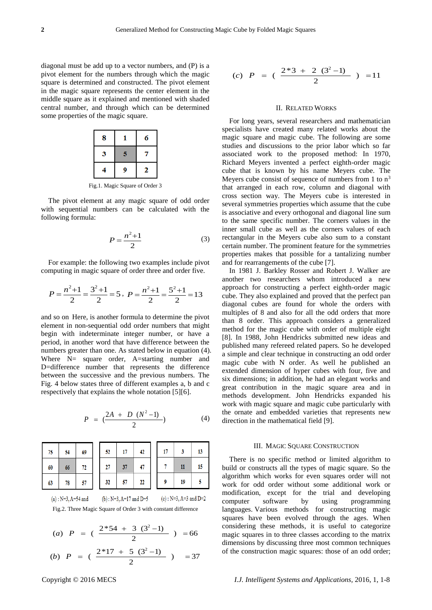diagonal must be add up to a vector numbers, and (P) is a pivot element for the numbers through which the magic square is determined and constructed. The pivot element in the magic square represents the center element in the middle square as it explained and mentioned with shaded central number, and through which can be determined some properties of the magic square.

| 8 |   | 6 |
|---|---|---|
| 3 | 5 |   |
|   | 9 | 2 |

Fig.1. Magic Square of Order 3

The pivot element at any magic square of odd order with sequential numbers can be calculated with the following formula:

$$
P = \frac{n^2 + 1}{2} \tag{3}
$$

For example: the following two examples include pivot computing in magic square of order three and order five.

$$
P = \frac{n^2 + 1}{2} = \frac{3^2 + 1}{2} = 5, \ P = \frac{n^2 + 1}{2} = \frac{5^2 + 1}{2} = 13
$$

and so on Here, is another formula to determine the pivot element in non-sequential odd order numbers that might begin with indeterminate integer number, or have a period, in another word that have difference between the numbers greater than one. As stated below in equation (4). Where N= square order, A=starting number and D=difference number that represents the difference between the successive and the previous numbers. The Fig. 4 below states three of different examples a, b and c respectively that explains the whole notation [5][6].

$$
P = \left(\frac{2A + D (N^2 - 1)}{2}\right) \tag{4}
$$

| 75      | 54 | 69 | 52 |    | 42 | 17 |    | 13 |
|---------|----|----|----|----|----|----|----|----|
| 60<br>L | 66 | 72 | 27 | 37 |    |    | 11 | 15 |
| 63<br>L | 78 | 57 | 32 | 57 | 22 |    | 19 |    |

```
(a) : N=3, A=54 and
          (b): N=3, A=17 and D=5(c) : N=3, A=3 and D=2Fig.2. Three Magic Square of Order 3 with constant difference
```
(a) 
$$
P = \left(\frac{2*54 + 3(3^2 - 1)}{2}\right) = 66
$$

(a) 
$$
P = (\frac{2 \times 17 + 5 (3^2 - 1)}{2}) = 66
$$
  
(b)  $P = (\frac{2 \times 17 + 5 (3^2 - 1)}{2}) = 37$ 

(c) 
$$
P = \left(\frac{2 \cdot 3 + 2 \cdot (3^2 - 1)}{2}\right) = 11
$$

## II. RELATED WORKS

For long years, several researchers and mathematician specialists have created many related works about the magic square and magic cube. The following are some studies and discussions to the prior labor which so far associated work to the proposed method: In 1970, Richard Meyers invented a perfect eighth-order magic cube that is known by his name Meyers cube. The Meyers cube consist of sequence of numbers from 1 to  $n<sup>3</sup>$ that arranged in each row, column and diagonal with cross section way. The Meyers cube is interested in several symmetries properties which assume that the cube is associative and every orthogonal and diagonal line sum to the same specific number. The corners values in the inner small cube as well as the corners values of each rectangular in the Meyers cube also sum to a constant certain number. The prominent feature for the symmetries properties makes that possible for a tantalizing number and for rearrangements of the cube [7].

In 1981 J. Barkley Rosser and Robert J. Walker are another two researchers whom introduced a new approach for constructing a perfect eighth-order magic cube. They also explained and proved that the perfect pan diagonal cubes are found for whole the orders with multiples of 8 and also for all the odd orders that more than 8 order. This approach considers a generalized method for the magic cube with order of multiple eight [8]. In 1988, John Hendricks submitted new ideas and published many refereed related papers. So he developed a simple and clear technique in constructing an odd order magic cube with N order. As well he published an extended dimension of hyper cubes with four, five and six dimensions; in addition, he had an elegant works and great contribution in the magic square area and in methods development. John Hendricks expanded his work with magic square and magic cube particularly with the ornate and embedded varieties that represents new direction in the mathematical field [9].

#### III. MAGIC SOUARE CONSTRUCTION

There is no specific method or limited algorithm to build or constructs all the types of magic square. So the algorithm which works for even squares order will not work for odd order without some additional work or modification, except for the trial and developing computer software by using programming languages. Various methods for constructing magic squares have been evolved through the ages. When considering these methods, it is useful to categorize magic squares in to three classes according to the matrix dimensions by discussing three most common techniques of the construction magic squares: those of an odd order;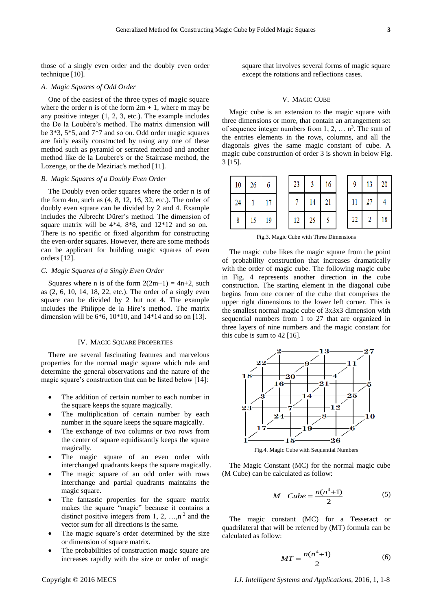those of a singly even order and the doubly even order technique [10].

#### *A. Magic Squares of Odd Order*

One of the easiest of the three types of magic square where the order n is of the form  $2m + 1$ , where m may be any positive integer (1, 2, 3, etc.). The example includes the De la Loubère's method. The matrix dimension will be 3\*3, 5\*5, and 7\*7 and so on. Odd order magic squares are fairly easily constructed by using any one of these method such as pyramid or serrated method and another method like de la Loubere's or the Staircase method, the Lozenge, or the de Meziriac's method [11].

## *B. Magic Squares of a Doubly Even Order*

The Doubly even order squares where the order n is of the form 4m, such as (4, 8, 12, 16, 32, etc.). The order of doubly even square can be divided by 2 and 4. Example includes the Albrecht Dürer's method. The dimension of square matrix will be 4\*4, 8\*8, and 12\*12 and so on. There is no specific or fixed algorithm for constructing the even-order squares. However, there are some methods can be applicant for building magic squares of even orders [12].

#### *C. Magic Squares of a Singly Even Order*

Squares where n is of the form  $2(2m+1) = 4n+2$ , such as (2, 6, 10, 14, 18, 22, etc.). The order of a singly even square can be divided by 2 but not 4. The example includes the Philippe de la Hire's method. The matrix dimension will be  $6*6$ ,  $10*10$ , and  $14*14$  and so on [13].

#### IV. MAGIC SOUARE PROPERTIES

There are several fascinating features and marvelous properties for the normal magic square which rule and determine the general observations and the nature of the magic square's construction that can be listed below [14]:

- The addition of certain number to each number in the square keeps the square magically.
- The multiplication of certain number by each number in the square keeps the square magically.
- The exchange of two columns or two rows from the center of square equidistantly keeps the square magically.
- The magic square of an even order with interchanged quadrants keeps the square magically.
- The magic square of an odd order with rows interchange and partial quadrants maintains the magic square.
- The fantastic properties for the square matrix makes the square "magic" because it contains a distinct positive integers from 1, 2, ..., n<sup>2</sup> and the vector sum for all directions is the same.
- The magic square's order determined by the size or dimension of square matrix.
- The probabilities of construction magic square are increases rapidly with the size or order of magic

square that involves several forms of magic square except the rotations and reflections cases.

## V. MAGIC CUBE

Magic cube is an extension to the magic square with three dimensions or more, that contain an arrangement set of sequence integer numbers from  $1, 2, \ldots$  n<sup>3</sup>. The sum of the entries elements in the rows, columns, and all the diagonals gives the same magic constant of cube. A magic cube construction of order 3 is shown in below Fig. 3 [15].

| 10 | 26 |    | 23 |    | 16 | 9  | 13 | 20 |
|----|----|----|----|----|----|----|----|----|
| 24 |    |    |    | 14 |    |    |    |    |
| 8  | 15 | 19 |    |    |    | າາ |    | 18 |

Fig.3. Magic Cube with Three Dimensions

The magic cube likes the magic square from the point of probability construction that increases dramatically with the order of magic cube. The following magic cube in Fig. 4 represents another direction in the cube construction. The starting element in the diagonal cube begins from one corner of the cube that comprises the upper right dimensions to the lower left corner. This is the smallest normal magic cube of 3x3x3 dimension with sequential numbers from 1 to 27 that are organized in three layers of nine numbers and the magic constant for this cube is sum to 42 [16].



Fig.4. Magic Cube with Sequential Numbers

The Magic Constant (MC) for the normal magic cube (M Cube) can be calculated as follow:

$$
M \quad Cube = \frac{n(n^3+1)}{2} \tag{5}
$$

The magic constant (MC) for a Tesseract or quadrilateral that will be referred by (MT) formula can be calculated as follow:

$$
MT = \frac{n(n^4 + 1)}{2} \tag{6}
$$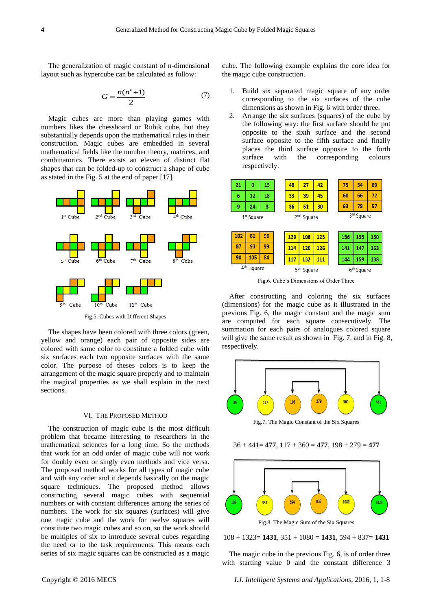The generalization of magic constant of n-dimensional layout such as hypercube can be calculated as follow:

$$
G = \frac{n(n^n + 1)}{2} \tag{7}
$$

Magic cubes are more than playing games with numbers likes the chessboard or Rubik cube, but they substantially depends upon the mathematical rules in their construction. Magic cubes are embedded in several mathematical fields like the number theory, matrices, and combinatorics. There exists an eleven of distinct flat shapes that can be folded-up to construct a shape of cube as stated in the Fig. 5 at the end of paper [17].



Fig.5. Cubes with Different Shapes

The shapes have been colored with three colors (green, yellow and orange) each pair of opposite sides are colored with same color to constitute a folded cube with six surfaces each two opposite surfaces with the same color. The purpose of theses colors is to keep the arrangement of the magic square properly and to maintain the magical properties as we shall explain in the next sections.

## VI. THE PROPOSED METHOD

The construction of magic cube is the most difficult problem that became interesting to researchers in the mathematical sciences for a long time. So the methods that work for an odd order of magic cube will not work for doubly even or singly even methods and vice versa. The proposed method works for all types of magic cube and with any order and it depends basically on the magic square techniques. The proposed method allows constructing several magic cubes with sequential numbers or with constant differences among the series of numbers. The work for six squares (surfaces) will give one magic cube and the work for twelve squares will constitute two magic cubes and so on, so the work should be multiples of six to introduce several cubes regarding the need or to the task requirements. This means each series of six magic squares can be constructed as a magic

cube. The following example explains the core idea for the magic cube construction.

- 1. Build six separated magic square of any order corresponding to the six surfaces of the cube dimensions as shown in Fig. 6 with order three.
- 2. Arrange the six surfaces (squares) of the cube by the following way: the first surface should be put opposite to the sixth surface and the second surface opposite to the fifth surface and finally places the third surface opposite to the forth surface with the corresponding colours respectively.



Fig.6. Cube's Dimensions of Order Three

After constructing and coloring the six surfaces (dimensions) for the magic cube as it illustrated in the previous Fig. 6, the magic constant and the magic sum are computed for each square consecutively. The summation for each pairs of analogues colored square will give the same result as shown in Fig. 7, and in Fig. 8, respectively.



Fig.7. The Magic Constant of the Six Squares

#### $36 + 441 = 477$ ,  $117 + 360 = 477$ ,  $198 + 279 = 477$



108 + 1323= **1431**, 351 + 1080 = **1431**, 594 + 837= **1431**

The magic cube in the previous Fig. 6, is of order three with starting value 0 and the constant difference 3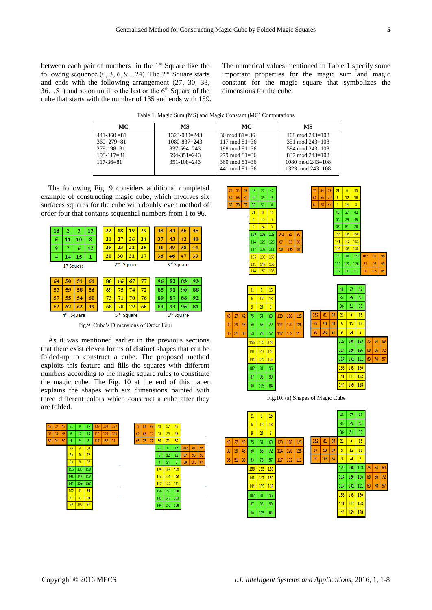between each pair of numbers in the 1<sup>st</sup> Square like the following sequence  $(0, 3, 6, 9...24)$ . The  $2<sup>nd</sup>$  Square starts and ends with the following arrangement (27, 30, 33,  $36...51$ ) and so on until to the last or the  $6<sup>th</sup>$  Square of the cube that starts with the number of 135 and ends with 159. The numerical values mentioned in Table 1 specify some important properties for the magic sum and magic constant for the magic square that symbolizes the dimensions for the cube.

Table 1. Magic Sum (MS) and Magic Constant (MC) Computations

| MC.              | MS                 | MC.                | MS                    |
|------------------|--------------------|--------------------|-----------------------|
| $441 - 360 = 81$ | $1323 - 080 = 243$ | $36 \mod 81 = 36$  | $108 \mod 243 = 108$  |
| $360 - 279 = 81$ | $1080 - 837 = 243$ | $117 \mod 81 = 36$ | $351 \mod 243 = 108$  |
| $279 - 198 = 81$ | $837 - 594 = 243$  | 198 mod $81=36$    | $594 \mod 243 = 108$  |
| $198 - 117 = 81$ | $594 - 351 = 243$  | $279 \mod 81 = 36$ | $837 \mod 243 = 108$  |
| $117 - 36 = 81$  | $351 - 108 = 243$  | $360 \mod 81 = 36$ | $1080 \mod 243 = 108$ |
|                  |                    | 441 mod $81=36$    | $1323 \mod 243 = 108$ |

The following Fig. 9 considers additional completed example of constructing magic cube, which involves six surfaces squares for the cube with doubly even method of order four that contains sequential numbers from 1 to 96.



Fig.9. Cube's Dimensions of Order Four

As it was mentioned earlier in the previous sections that there exist eleven forms of distinct shapes that can be folded-up to construct a cube. The proposed method exploits this feature and fills the squares with different numbers according to the magic square rules to constitute the magic cube. The Fig. 10 at the end of this paper explains the shapes with six dimensions painted with three different colors which construct a cube after they are folded.





Fig.10. (a) Shapes of Magic Cube

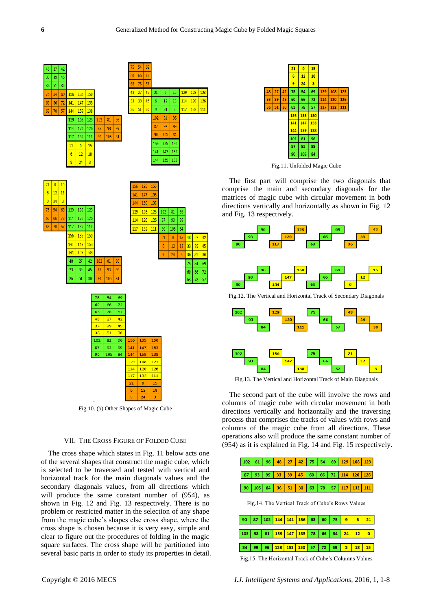

Fig.10. (b) Other Shapes of Magic Cube

## VII. THE CROSS FIGURE OF FOLDED CUBE

The cross shape which states in Fig. 11 below acts one of the several shapes that construct the magic cube, which is selected to be traversed and tested with vertical and horizontal track for the main diagonals values and the secondary diagonals values, from all directions which will produce the same constant number of (954), as shown in Fig. 12 and Fig. 13 respectively. There is no problem or restricted matter in the selection of any shape from the magic cube's shapes else cross shape, where the cross shape is chosen because it is very easy, simple and clear to figure out the procedures of folding in the magic square surfaces. The cross shape will be partitioned into several basic parts in order to study its properties in detail.



Fig.11. Unfolded Magic Cube

The first part will comprise the two diagonals that comprise the main and secondary diagonals for the matrices of magic cube with circular movement in both directions vertically and horizontally as shown in Fig. 12 and Fig. 13 respectively.



Fig.13. The Vertical and Horizontal Track of Main Diagonals

The second part of the cube will involve the rows and columns of magic cube with circular movement in both directions vertically and horizontally and the traversing process that comprises the tracks of values with rows and columns of the magic cube from all directions. These operations also will produce the same constant number of (954) as it is explained in Fig. 14 and Fig. 15 respectively.

|                                                   |  |  |  |  |  |  |  |  |  |  | 102   81   96 <mark>  48   27   42  </mark> 75   54   69 <mark>  129   108   123  </mark> |
|---------------------------------------------------|--|--|--|--|--|--|--|--|--|--|-------------------------------------------------------------------------------------------|
|                                                   |  |  |  |  |  |  |  |  |  |  |                                                                                           |
|                                                   |  |  |  |  |  |  |  |  |  |  | 87   93   99   33   39   45   60   66   72   114   120   126                              |
|                                                   |  |  |  |  |  |  |  |  |  |  |                                                                                           |
|                                                   |  |  |  |  |  |  |  |  |  |  | 90   105   84 <mark>  36   51   30   63   78   57   117   132   111  </mark>              |
|                                                   |  |  |  |  |  |  |  |  |  |  |                                                                                           |
| Fig. 14. The Vertical Track of Cube's Rows Values |  |  |  |  |  |  |  |  |  |  |                                                                                           |

|  |  | 90   87   102   144   141   156   63   60   75   9   6   21  |  |  |  |
|--|--|--------------------------------------------------------------|--|--|--|
|  |  |                                                              |  |  |  |
|  |  | 105   93   81   159   147   135   78   66   54   24   12   0 |  |  |  |
|  |  |                                                              |  |  |  |
|  |  | 84 99 96 138 153 150 57 72 69 3 18 15                        |  |  |  |
|  |  |                                                              |  |  |  |

Fig.15. The Horizontal Track of Cube's Columns Values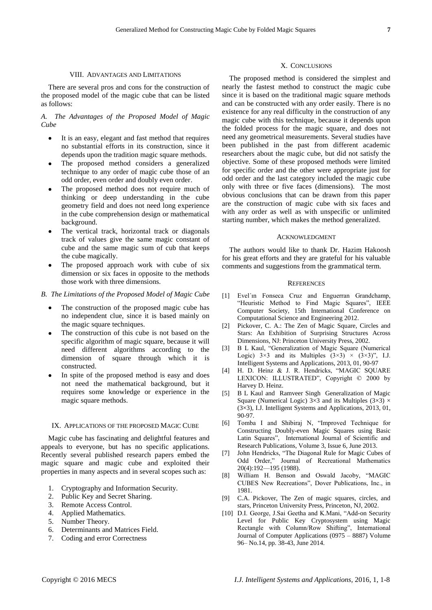#### VIII. ADVANTAGES AND LIMITATIONS

There are several pros and cons for the construction of the proposed model of the magic cube that can be listed as follows:

*A. The Advantages of the Proposed Model of Magic Cube*

- It is an easy, elegant and fast method that requires no substantial efforts in its construction, since it depends upon the tradition magic square methods.
- The proposed method considers a generalized technique to any order of magic cube those of an odd order, even order and doubly even order.
- The proposed method does not require much of thinking or deep understanding in the cube geometry field and does not need long experience in the cube comprehension design or mathematical background.
- The vertical track, horizontal track or diagonals track of values give the same magic constant of cube and the same magic sum of cub that keeps the cube magically.
- The proposed approach work with cube of six dimension or six faces in opposite to the methods those work with three dimensions.
- *B. The Limitations of the Proposed Model of Magic Cube*
	- The construction of the proposed magic cube has no independent clue, since it is based mainly on the magic square techniques.
	- The construction of this cube is not based on the specific algorithm of magic square, because it will need different algorithms according to the dimension of square through which it is constructed.
	- In spite of the proposed method is easy and does not need the mathematical background, but it requires some knowledge or experience in the magic square methods.

## IX. APPLICATIONS OF THE PROPOSED MAGIC CUBE

Magic cube has fascinating and delightful features and appeals to everyone, but has no specific applications. Recently several published research papers embed the magic square and magic cube and exploited their properties in many aspects and in several scopes such as:

- 1. Cryptography and Information Security.
- 2. Public Key and Secret Sharing.
- 3. Remote Access Control.
- 4. Applied Mathematics.
- 5. Number Theory.
- 6. Determinants and Matrices Field.
- 7. Coding and error Correctness

### X. CONCLUSIONS

The proposed method is considered the simplest and nearly the fastest method to construct the magic cube since it is based on the traditional magic square methods and can be constructed with any order easily. There is no existence for any real difficulty in the construction of any magic cube with this technique, because it depends upon the folded process for the magic square, and does not need any geometrical measurements. Several studies have been published in the past from different academic researchers about the magic cube, but did not satisfy the objective. Some of these proposed methods were limited for specific order and the other were appropriate just for odd order and the last category included the magic cube only with three or five faces (dimensions). The most obvious conclusions that can be drawn from this paper are the construction of magic cube with six faces and with any order as well as with unspecific or unlimited starting number, which makes the method generalized.

#### ACKNOWLEDGMENT

The authors would like to thank Dr. Hazim Hakoosh for his great efforts and they are grateful for his valuable comments and suggestions from the grammatical term.

## **REFERENCES**

- [1] Evel´ın Fonseca Cruz and Enguerran Grandchamp, "Heuristic Method to Find Magic Squares", IEEE Computer Society, 15th International Conference on Computational Science and Engineering 2012.
- [2] Pickover, C. A.: The Zen of Magic Square, Circles and Stars: An Exhibition of Surprising Structures Across Dimensions, NJ: Princeton University Press, 2002.
- [3] B L Kaul, "Generalization of Magic Square (Numerical Logic)  $3\times3$  and its Multiples  $(3\times3) \times (3\times3)$ ", I.J. Intelligent Systems and Applications, 2013, 01, 90-97
- [4] H. D. Heinz & J. R. Hendricks, "MAGIC SQUARE LEXICON: ILLUSTRATED", Copyright © 2000 by Harvey D. Heinz.
- [5] B L Kaul and Ramveer Singh Generalization of Magic Square (Numerical Logic)  $3 \times 3$  and its Multiples ( $3 \times 3$ )  $\times$ (3×3), I.J. Intelligent Systems and Applications, 2013, 01, 90-97.
- [6] Tomba I and Shibiraj N, "Improved Technique for Constructing Doubly-even Magic Squares using Basic Latin Squares", International Journal of Scientific and Research Publications, Volume 3, Issue 6, June 2013.
- [7] John Hendricks, "The Diagonal Rule for Magic Cubes of Odd Order," Journal of Recreational Mathematics 20(4):192—195 (1988).
- [8] William H. Benson and Oswald Jacoby, "MAGIC CUBES New Recreations", Dover Publications, Inc., in 1981.
- [9] C.A. Pickover, The Zen of magic squares, circles, and stars, Princeton University Press, Princeton, NJ, 2002.
- [10] D.I. George, J.Sai Geetha and K.Mani, "Add-on Security Level for Public Key Cryptosystem using Magic Rectangle with Column/Row Shifting", International Journal of Computer Applications (0975 – 8887) Volume 96– No.14, pp. 38-43, June 2014.